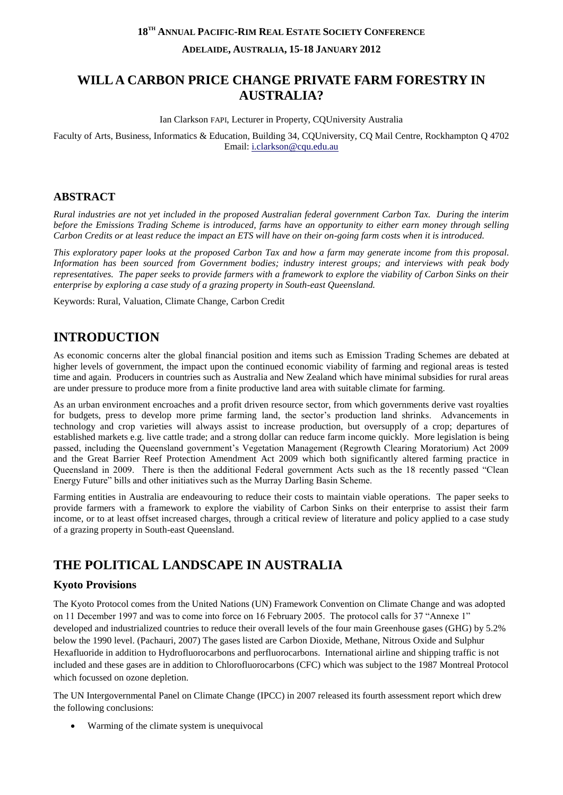### **18TH ANNUAL PACIFIC-RIM REAL ESTATE SOCIETY CONFERENCE**

**ADELAIDE, AUSTRALIA, 15-18 JANUARY 2012**

# **WILL A CARBON PRICE CHANGE PRIVATE FARM FORESTRY IN AUSTRALIA?**

Ian Clarkson FAPI, Lecturer in Property, CQUniversity Australia

Faculty of Arts, Business, Informatics & Education, Building 34, CQUniversity, CQ Mail Centre, Rockhampton Q 4702 Email: [i.clarkson@cqu.edu.au](mailto:i.clarkson@cqu.edu.au)

## **ABSTRACT**

*Rural industries are not yet included in the proposed Australian federal government Carbon Tax. During the interim before the Emissions Trading Scheme is introduced, farms have an opportunity to either earn money through selling Carbon Credits or at least reduce the impact an ETS will have on their on-going farm costs when it is introduced.*

*This exploratory paper looks at the proposed Carbon Tax and how a farm may generate income from this proposal. Information has been sourced from Government bodies; industry interest groups; and interviews with peak body representatives. The paper seeks to provide farmers with a framework to explore the viability of Carbon Sinks on their enterprise by exploring a case study of a grazing property in South-east Queensland.*

Keywords: Rural, Valuation, Climate Change, Carbon Credit

# **INTRODUCTION**

As economic concerns alter the global financial position and items such as Emission Trading Schemes are debated at higher levels of government, the impact upon the continued economic viability of farming and regional areas is tested time and again. Producers in countries such as Australia and New Zealand which have minimal subsidies for rural areas are under pressure to produce more from a finite productive land area with suitable climate for farming.

As an urban environment encroaches and a profit driven resource sector, from which governments derive vast royalties for budgets, press to develop more prime farming land, the sector's production land shrinks. Advancements in technology and crop varieties will always assist to increase production, but oversupply of a crop; departures of established markets e.g. live cattle trade; and a strong dollar can reduce farm income quickly. More legislation is being passed, including the Queensland government's Vegetation Management (Regrowth Clearing Moratorium) Act 2009 and the Great Barrier Reef Protection Amendment Act 2009 which both significantly altered farming practice in Queensland in 2009. There is then the additional Federal government Acts such as the 18 recently passed "Clean Energy Future" bills and other initiatives such as the Murray Darling Basin Scheme.

Farming entities in Australia are endeavouring to reduce their costs to maintain viable operations. The paper seeks to provide farmers with a framework to explore the viability of Carbon Sinks on their enterprise to assist their farm income, or to at least offset increased charges, through a critical review of literature and policy applied to a case study of a grazing property in South-east Queensland.

# **THE POLITICAL LANDSCAPE IN AUSTRALIA**

# **Kyoto Provisions**

The Kyoto Protocol comes from the United Nations (UN) Framework Convention on Climate Change and was adopted on 11 December 1997 and was to come into force on 16 February 2005. The protocol calls for 37 "Annexe 1" developed and industrialized countries to reduce their overall levels of the four main Greenhouse gases (GHG) by 5.2% below the 1990 level. [\(Pachauri, 2007\)](#page-11-0) The gases listed are Carbon Dioxide, Methane, Nitrous Oxide and Sulphur Hexafluoride in addition to Hydrofluorocarbons and perfluorocarbons. International airline and shipping traffic is not included and these gases are in addition to Chlorofluorocarbons (CFC) which was subject to the 1987 Montreal Protocol which focussed on ozone depletion.

The UN Intergovernmental Panel on Climate Change (IPCC) in 2007 released its fourth assessment report which drew the following conclusions:

Warming of the climate system is unequivocal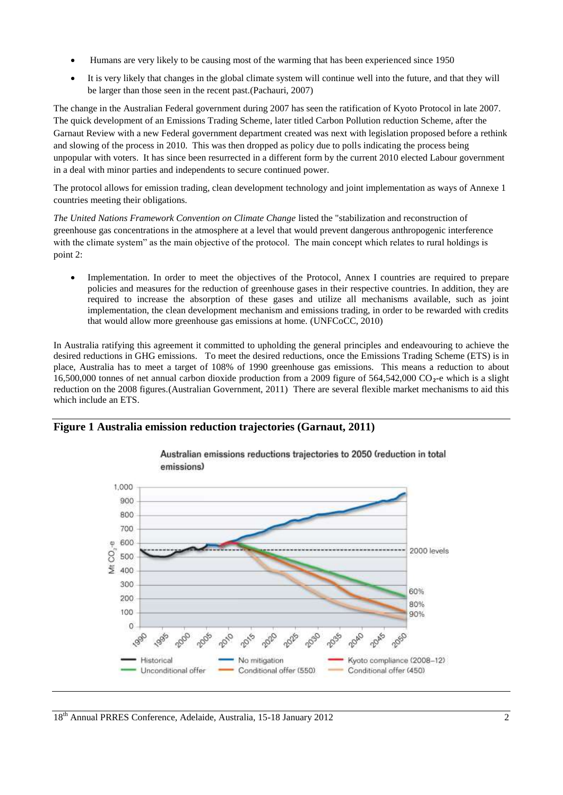- Humans are very likely to be causing most of the warming that has been experienced since 1950
- It is very likely that changes in the global climate system will continue well into the future, and that they will be larger than those seen in the recent past.[\(Pachauri, 2007\)](#page-11-0)

The change in the Australian Federal government during 2007 has seen the ratification of Kyoto Protocol in late 2007. The quick development of an Emissions Trading Scheme, later titled Carbon Pollution reduction Scheme, after the Garnaut Review with a new Federal government department created was next with legislation proposed before a rethink and slowing of the process in 2010. This was then dropped as policy due to polls indicating the process being unpopular with voters. It has since been resurrected in a different form by the current 2010 elected Labour government in a deal with minor parties and independents to secure continued power.

The protocol allows for emission trading, clean development technology and joint implementation as ways of Annexe 1 countries meeting their obligations.

*The United Nations Framework Convention on Climate Change* listed the "stabilization and reconstruction of greenhouse gas concentrations in the atmosphere at a level that would prevent dangerous anthropogenic interference with the climate system" as the main objective of the protocol. The main concept which relates to rural holdings is point 2:

 Implementation. In order to meet the objectives of the Protocol, Annex I countries are required to prepare policies and measures for the reduction of greenhouse gases in their respective countries. In addition, they are required to increase the absorption of these gases and utilize all mechanisms available, such as joint implementation, the clean development mechanism and emissions trading, in order to be rewarded with credits that would allow more greenhouse gas emissions at home. [\(UNFCoCC, 2010\)](#page-11-1)

In Australia ratifying this agreement it committed to upholding the general principles and endeavouring to achieve the desired reductions in GHG emissions. To meet the desired reductions, once the Emissions Trading Scheme (ETS) is in place, Australia has to meet a target of 108% of 1990 greenhouse gas emissions. This means a reduction to about 16,500,000 tonnes of net annual carbon dioxide production from a 2009 figure of 564,542,000 CO₂-e which is a slight reduction on the 2008 figures.[\(Australian Government, 2011\)](#page-11-2) There are several flexible market mechanisms to aid this which include an ETS.

#### **Figure 1 Australia emission reduction trajectories (Garnaut, 2011)**



Australian emissions reductions trajectories to 2050 (reduction in total emissions)

18<sup>th</sup> Annual PRRES Conference, Adelaide, Australia, 15-18 January 2012 2012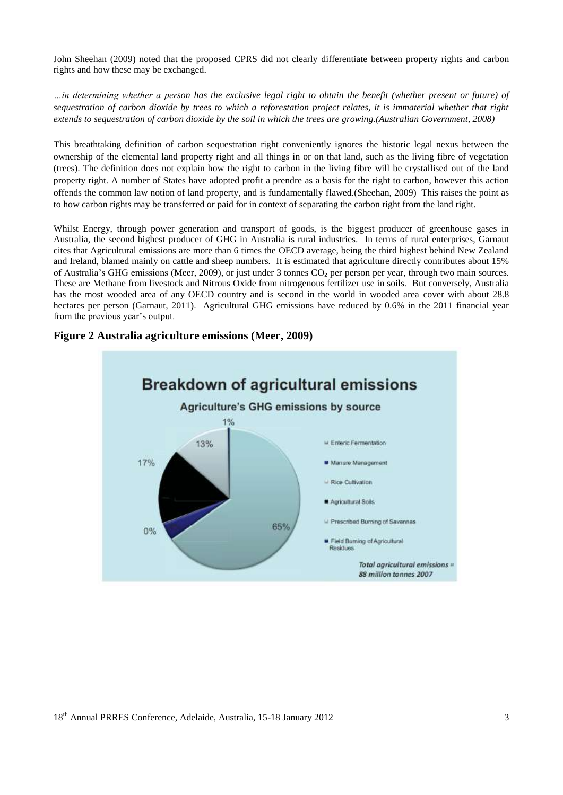John Sheehan (2009) noted that the proposed CPRS did not clearly differentiate between property rights and carbon rights and how these may be exchanged.

*…in determining whether a person has the exclusive legal right to obtain the benefit (whether present or future) of sequestration of carbon dioxide by trees to which a reforestation project relates, it is immaterial whether that right extends to sequestration of carbon dioxide by the soil in which the trees are growing.[\(Australian Government, 2008\)](#page-11-3)*

This breathtaking definition of carbon sequestration right conveniently ignores the historic legal nexus between the ownership of the elemental land property right and all things in or on that land, such as the living fibre of vegetation (trees). The definition does not explain how the right to carbon in the living fibre will be crystallised out of the land property right. A number of States have adopted profit a prendre as a basis for the right to carbon, however this action offends the common law notion of land property, and is fundamentally flawed.[\(Sheehan, 2009\)](#page-11-4) This raises the point as to how carbon rights may be transferred or paid for in context of separating the carbon right from the land right.

Whilst Energy, through power generation and transport of goods, is the biggest producer of greenhouse gases in Australia, the second highest producer of GHG in Australia is rural industries. In terms of rural enterprises, Garnaut cites that Agricultural emissions are more than 6 times the OECD average, being the third highest behind New Zealand and Ireland, blamed mainly on cattle and sheep numbers. It is estimated that agriculture directly contributes about 15% of Australia's GHG emissions [\(Meer, 2009\)](#page-11-5), or just under 3 tonnes CO₂ per person per year, through two main sources. These are Methane from livestock and Nitrous Oxide from nitrogenous fertilizer use in soils. But conversely, Australia has the most wooded area of any OECD country and is second in the world in wooded area cover with about 28.8 hectares per person [\(Garnaut, 2011\)](#page-11-6). Agricultural GHG emissions have reduced by 0.6% in the 2011 financial year from the previous year's output.



**Figure 2 Australia agriculture emissions (Meer, 2009)**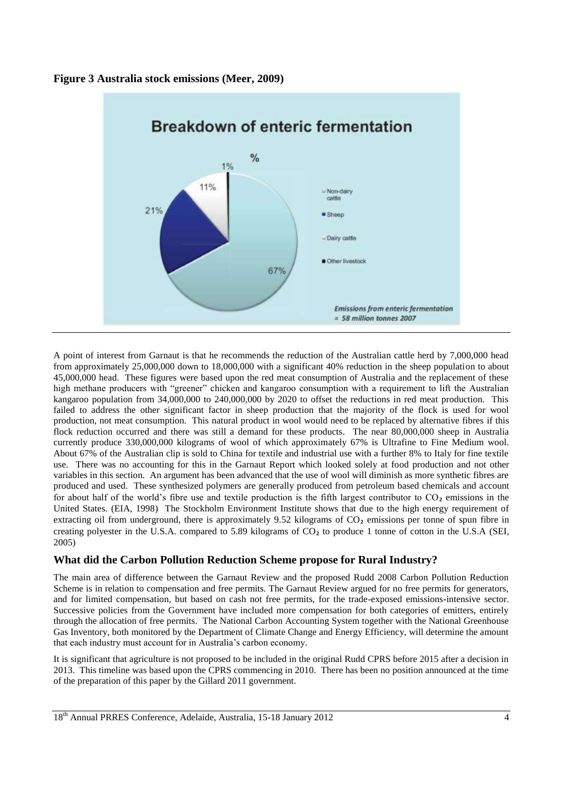



A point of interest from Garnaut is that he recommends the reduction of the Australian cattle herd by 7,000,000 head from approximately 25,000,000 down to 18,000,000 with a significant 40% reduction in the sheep population to about 45,000,000 head. These figures were based upon the red meat consumption of Australia and the replacement of these high methane producers with "greener" chicken and kangaroo consumption with a requirement to lift the Australian kangaroo population from 34,000,000 to 240,000,000 by 2020 to offset the reductions in red meat production. This failed to address the other significant factor in sheep production that the majority of the flock is used for wool production, not meat consumption. This natural product in wool would need to be replaced by alternative fibres if this flock reduction occurred and there was still a demand for these products. The near 80,000,000 sheep in Australia currently produce 330,000,000 kilograms of wool of which approximately 67% is Ultrafine to Fine Medium wool. About 67% of the Australian clip is sold to China for textile and industrial use with a further 8% to Italy for fine textile use. There was no accounting for this in the Garnaut Report which looked solely at food production and not other variables in this section. An argument has been advanced that the use of wool will diminish as more synthetic fibres are produced and used. These synthesized polymers are generally produced from petroleum based chemicals and account for about half of the world's fibre use and textile production is the fifth largest contributor to  $CO<sub>2</sub>$  emissions in the United States. [\(EIA, 1998\)](#page-11-7) The Stockholm Environment Institute shows that due to the high energy requirement of extracting oil from underground, there is approximately 9.52 kilograms of CO<sub>2</sub> emissions per tonne of spun fibre in creating polyester in the U.S.A. compared to 5.89 kilograms of  $CO<sub>2</sub>$  to produce 1 tonne of cotton in the U.S.A (SEI, [2005\)](#page-11-8)

## **What did the Carbon Pollution Reduction Scheme propose for Rural Industry?**

The main area of difference between the Garnaut Review and the proposed Rudd 2008 Carbon Pollution Reduction Scheme is in relation to compensation and free permits. The Garnaut Review argued for no free permits for generators, and for limited compensation, but based on cash not free permits, for the trade-exposed emissions-intensive sector. Successive policies from the Government have included more compensation for both categories of emitters, entirely through the allocation of free permits. The National Carbon Accounting System together with the National Greenhouse Gas Inventory, both monitored by the Department of Climate Change and Energy Efficiency, will determine the amount that each industry must account for in Australia's carbon economy.

It is significant that agriculture is not proposed to be included in the original Rudd CPRS before 2015 after a decision in 2013. This timeline was based upon the CPRS commencing in 2010. There has been no position announced at the time of the preparation of this paper by the Gillard 2011 government.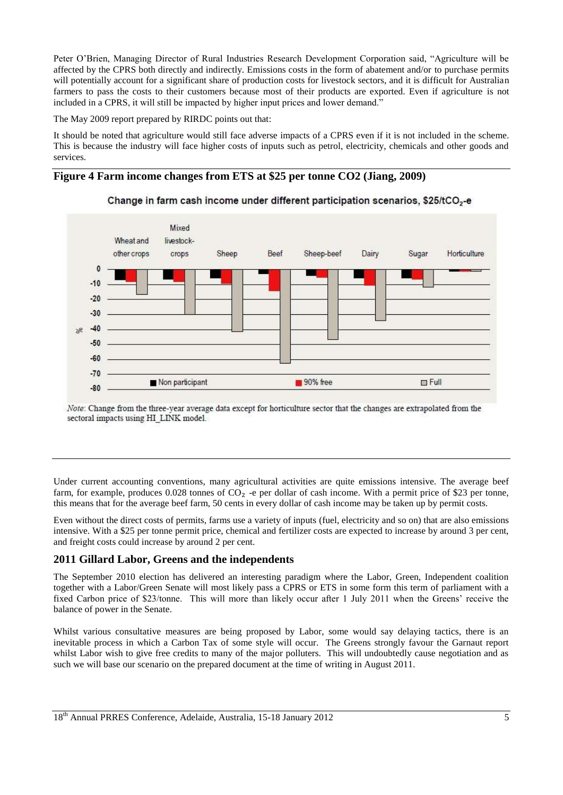Peter O'Brien, Managing Director of Rural Industries Research Development Corporation said, "Agriculture will be affected by the CPRS both directly and indirectly. Emissions costs in the form of abatement and/or to purchase permits will potentially account for a significant share of production costs for livestock sectors, and it is difficult for Australian farmers to pass the costs to their customers because most of their products are exported. Even if agriculture is not included in a CPRS, it will still be impacted by higher input prices and lower demand."

The May 2009 report prepared by RIRDC points out that:

It should be noted that agriculture would still face adverse impacts of a CPRS even if it is not included in the scheme. This is because the industry will face higher costs of inputs such as petrol, electricity, chemicals and other goods and services.

### **Figure 4 Farm income changes from ETS at \$25 per tonne CO2 (Jiang, 2009)**



Change in farm cash income under different participation scenarios, \$25/tCO<sub>2</sub>-e

Note: Change from the three-year average data except for horticulture sector that the changes are extrapolated from the sectoral impacts using HI\_LINK model.

Under current accounting conventions, many agricultural activities are quite emissions intensive. The average beef farm, for example, produces  $0.028$  tonnes of  $CO<sub>2</sub>$  -e per dollar of cash income. With a permit price of \$23 per tonne, this means that for the average beef farm, 50 cents in every dollar of cash income may be taken up by permit costs.

Even without the direct costs of permits, farms use a variety of inputs (fuel, electricity and so on) that are also emissions intensive. With a \$25 per tonne permit price, chemical and fertilizer costs are expected to increase by around 3 per cent, and freight costs could increase by around 2 per cent.

## **2011 Gillard Labor, Greens and the independents**

The September 2010 election has delivered an interesting paradigm where the Labor, Green, Independent coalition together with a Labor/Green Senate will most likely pass a CPRS or ETS in some form this term of parliament with a fixed Carbon price of \$23/tonne. This will more than likely occur after 1 July 2011 when the Greens' receive the balance of power in the Senate.

Whilst various consultative measures are being proposed by Labor, some would say delaying tactics, there is an inevitable process in which a Carbon Tax of some style will occur. The Greens strongly favour the Garnaut report whilst Labor wish to give free credits to many of the major polluters. This will undoubtedly cause negotiation and as such we will base our scenario on the prepared document at the time of writing in August 2011.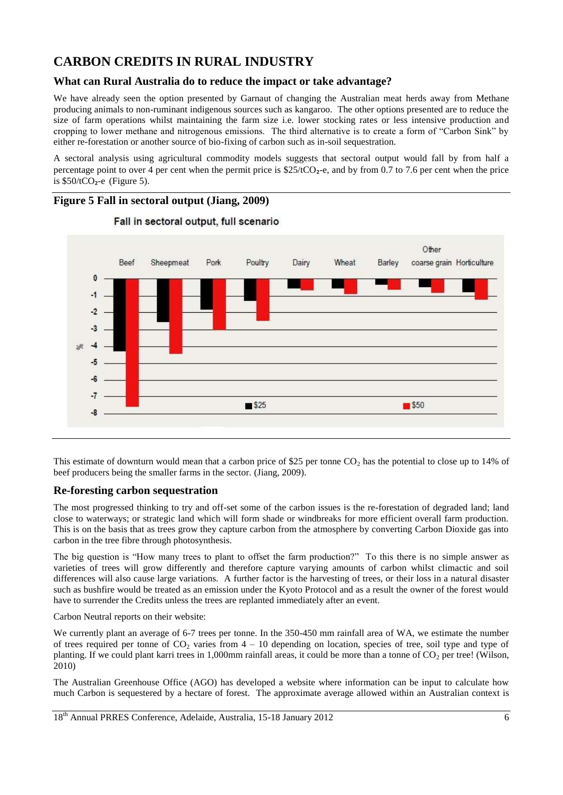# **CARBON CREDITS IN RURAL INDUSTRY**

# **What can Rural Australia do to reduce the impact or take advantage?**

We have already seen the option presented by Garnaut of changing the Australian meat herds away from Methane producing animals to non-ruminant indigenous sources such as kangaroo. The other options presented are to reduce the size of farm operations whilst maintaining the farm size i.e. lower stocking rates or less intensive production and cropping to lower methane and nitrogenous emissions. The third alternative is to create a form of "Carbon Sink" by either re-forestation or another source of bio-fixing of carbon such as in-soil sequestration.

A sectoral analysis using agricultural commodity models suggests that sectoral output would fall by from half a percentage point to over 4 per cent when the permit price is  $$25/tCO<sub>2</sub>$ -e, and by from 0.7 to 7.6 per cent when the price is  $$50/tCO<sub>2</sub>$ -e (Figure 5).



This estimate of downturn would mean that a carbon price of \$25 per tonne  $CO<sub>2</sub>$  has the potential to close up to 14% of beef producers being the smaller farms in the sector. [\(Jiang, 2009\)](#page-11-9).

## **Re-foresting carbon sequestration**

The most progressed thinking to try and off-set some of the carbon issues is the re-forestation of degraded land; land close to waterways; or strategic land which will form shade or windbreaks for more efficient overall farm production. This is on the basis that as trees grow they capture carbon from the atmosphere by converting Carbon Dioxide gas into carbon in the tree fibre through photosynthesis.

The big question is "How many trees to plant to offset the farm production?" To this there is no simple answer as varieties of trees will grow differently and therefore capture varying amounts of carbon whilst climactic and soil differences will also cause large variations. A further factor is the harvesting of trees, or their loss in a natural disaster such as bushfire would be treated as an emission under the Kyoto Protocol and as a result the owner of the forest would have to surrender the Credits unless the trees are replanted immediately after an event.

Carbon Neutral reports on their website:

We currently plant an average of 6-7 trees per tonne. In the 350-450 mm rainfall area of WA, we estimate the number of trees required per tonne of  $CO_2$  varies from  $4 - 10$  depending on location, species of tree, soil type and type of planting. If we could plant karri trees in 1,000mm rainfall areas, it could be more than a tonne of  $CO<sub>2</sub>$  per tree! (Wilson, [2010\)](#page-11-10)

The Australian Greenhouse Office (AGO) has developed a website where information can be input to calculate how much Carbon is sequestered by a hectare of forest. The approximate average allowed within an Australian context is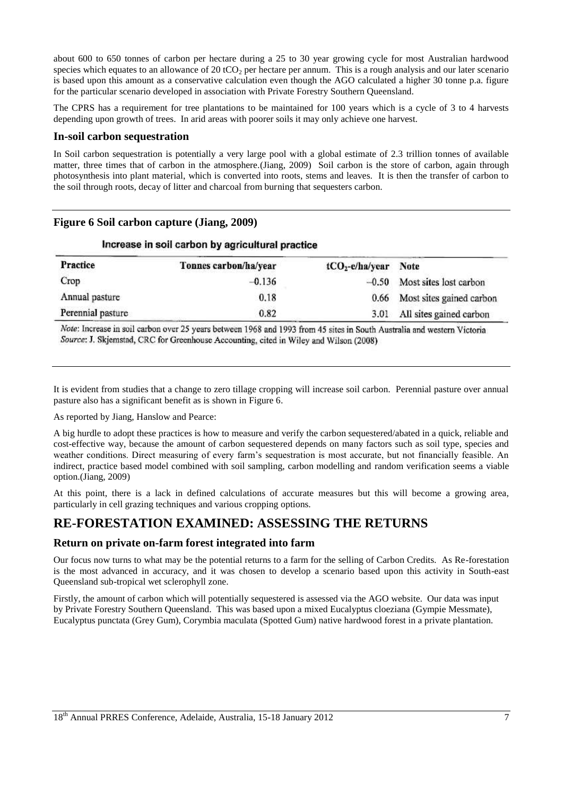about 600 to 650 tonnes of carbon per hectare during a 25 to 30 year growing cycle for most Australian hardwood species which equates to an allowance of 20 tCO<sub>2</sub> per hectare per annum. This is a rough analysis and our later scenario is based upon this amount as a conservative calculation even though the AGO calculated a higher 30 tonne p.a. figure for the particular scenario developed in association with Private Forestry Southern Queensland.

The CPRS has a requirement for tree plantations to be maintained for 100 years which is a cycle of 3 to 4 harvests depending upon growth of trees. In arid areas with poorer soils it may only achieve one harvest.

#### **In-soil carbon sequestration**

In Soil carbon sequestration is potentially a very large pool with a global estimate of 2.3 trillion tonnes of available matter, three times that of carbon in the atmosphere.[\(Jiang, 2009\)](#page-11-9) Soil carbon is the store of carbon, again through photosynthesis into plant material, which is converted into roots, stems and leaves. It is then the transfer of carbon to the soil through roots, decay of litter and charcoal from burning that sequesters carbon.

# **Figure 6 Soil carbon capture (Jiang, 2009)**

| <b>Practice</b>   | Tonnes carbon/ha/year | $tCO_2$ -e/ha/year | Note                           |
|-------------------|-----------------------|--------------------|--------------------------------|
| Crop              | $-0.136$              |                    | $-0.50$ Most sites lost carbon |
| Annual pasture    | 0.18                  |                    | 0.66 Most sites gained carbon  |
| Perennial pasture | 0.82                  |                    | 3.01 All sites gained carbon   |

#### Increase in soil carbon by agricultural practice

Note: Increase in soil carbon over 25 years between 1968 and 1993 from 45 sites in South Australia and western Victoria Source: J. Skjemstad, CRC for Greenhouse Accounting, cited in Wiley and Wilson (2008)

It is evident from studies that a change to zero tillage cropping will increase soil carbon. Perennial pasture over annual pasture also has a significant benefit as is shown in Figure 6.

As reported by Jiang, Hanslow and Pearce:

A big hurdle to adopt these practices is how to measure and verify the carbon sequestered/abated in a quick, reliable and cost-effective way, because the amount of carbon sequestered depends on many factors such as soil type, species and weather conditions. Direct measuring of every farm's sequestration is most accurate, but not financially feasible. An indirect, practice based model combined with soil sampling, carbon modelling and random verification seems a viable option.[\(Jiang, 2009\)](#page-11-9)

At this point, there is a lack in defined calculations of accurate measures but this will become a growing area, particularly in cell grazing techniques and various cropping options.

# **RE-FORESTATION EXAMINED: ASSESSING THE RETURNS**

#### **Return on private on-farm forest integrated into farm**

Our focus now turns to what may be the potential returns to a farm for the selling of Carbon Credits. As Re-forestation is the most advanced in accuracy, and it was chosen to develop a scenario based upon this activity in South-east Queensland sub-tropical wet sclerophyll zone.

Firstly, the amount of carbon which will potentially sequestered is assessed via the AGO website. Our data was input by Private Forestry Southern Queensland. This was based upon a mixed Eucalyptus cloeziana (Gympie Messmate), Eucalyptus punctata (Grey Gum), Corymbia maculata (Spotted Gum) native hardwood forest in a private plantation.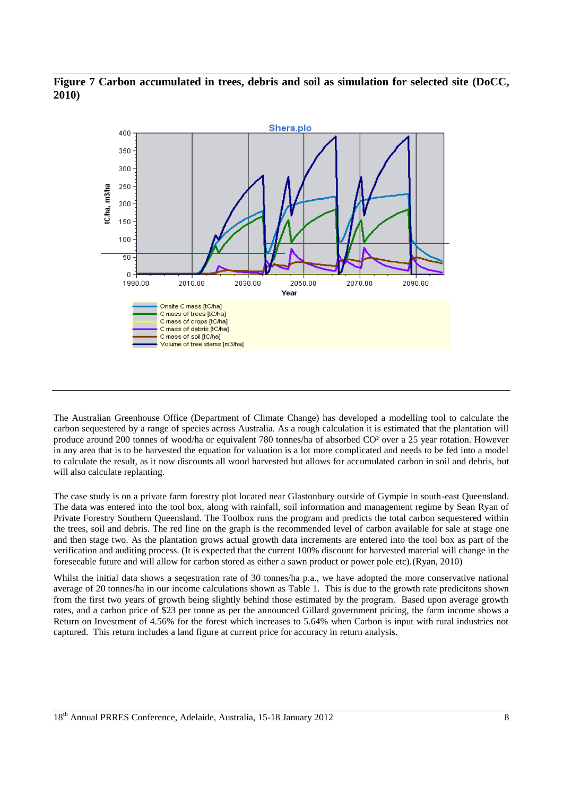## **Figure 7 Carbon accumulated in trees, debris and soil as simulation for selected site [\(DoCC,](#page-11-11)  [2010\)](#page-11-11)**



The Australian Greenhouse Office (Department of Climate Change) has developed a modelling tool to calculate the carbon sequestered by a range of species across Australia. As a rough calculation it is estimated that the plantation will produce around 200 tonnes of wood/ha or equivalent 780 tonnes/ha of absorbed CO² over a 25 year rotation. However in any area that is to be harvested the equation for valuation is a lot more complicated and needs to be fed into a model to calculate the result, as it now discounts all wood harvested but allows for accumulated carbon in soil and debris, but will also calculate replanting.

The case study is on a private farm forestry plot located near Glastonbury outside of Gympie in south-east Queensland. The data was entered into the tool box, along with rainfall, soil information and management regime by Sean Ryan of Private Forestry Southern Queensland. The Toolbox runs the program and predicts the total carbon sequestered within the trees, soil and debris. The red line on the graph is the recommended level of carbon available for sale at stage one and then stage two. As the plantation grows actual growth data increments are entered into the tool box as part of the verification and auditing process. (It is expected that the current 100% discount for harvested material will change in the foreseeable future and will allow for carbon stored as either a sawn product or power pole etc).[\(Ryan, 2010\)](#page-11-12)

Whilst the initial data shows a seqestration rate of 30 tonnes/ha p.a., we have adopted the more conservative national average of 20 tonnes/ha in our income calculations shown as Table 1. This is due to the growth rate predicitons shown from the first two years of growth being slightly behind those estimated by the program. Based upon average growth rates, and a carbon price of \$23 per tonne as per the announced Gillard government pricing, the farm income shows a Return on Investment of 4.56% for the forest which increases to 5.64% when Carbon is input with rural industries not captured. This return includes a land figure at current price for accuracy in return analysis.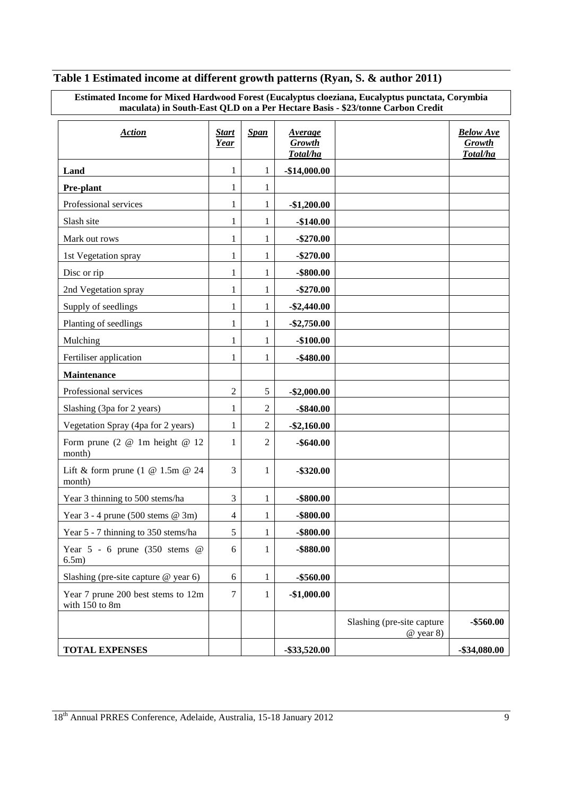# **Table 1 Estimated income at different growth patterns (Ryan, S. & author 2011)**

| Estimated Income for Mixed Hardwood Forest (Eucalyptus cloeziana, Eucalyptus punctata, Corymbia |  |
|-------------------------------------------------------------------------------------------------|--|
| maculata) in South-East OLD on a Per Hectare Basis - \$23/tonne Carbon Credit                   |  |

| <b>Action</b>                                        | <b>Start</b><br><b>Year</b> | <b>Span</b>      | Average<br><b>Growth</b><br>Total/ha |                                           | <b>Below Ave</b><br><b>Growth</b><br>Total/ha |
|------------------------------------------------------|-----------------------------|------------------|--------------------------------------|-------------------------------------------|-----------------------------------------------|
| Land                                                 | 1                           | 1                | $-$14,000.00$                        |                                           |                                               |
| <b>Pre-plant</b>                                     | 1                           | 1                |                                      |                                           |                                               |
| Professional services                                | 1                           | 1                | $-$1,200.00$                         |                                           |                                               |
| Slash site                                           | $\mathbf{1}$                | 1                | $-$140.00$                           |                                           |                                               |
| Mark out rows                                        | 1                           | 1                | $-$270.00$                           |                                           |                                               |
| 1st Vegetation spray                                 | 1                           | 1                | $-$270.00$                           |                                           |                                               |
| Disc or rip                                          | 1                           | 1                | $-$ \$800.00                         |                                           |                                               |
| 2nd Vegetation spray                                 | 1                           | 1                | $-$270.00$                           |                                           |                                               |
| Supply of seedlings                                  | 1                           | 1                | $-$ \$2,440.00                       |                                           |                                               |
| Planting of seedlings                                | $\mathbf{1}$                | 1                | $-$ \$2,750.00                       |                                           |                                               |
| Mulching                                             | 1                           | 1                | $-$100.00$                           |                                           |                                               |
| Fertiliser application                               | 1                           | 1                | $-$480.00$                           |                                           |                                               |
| <b>Maintenance</b>                                   |                             |                  |                                      |                                           |                                               |
| Professional services                                | $\overline{2}$              | $\sqrt{5}$       | $-$ \$2,000.00                       |                                           |                                               |
| Slashing (3pa for 2 years)                           | 1                           | $\mathfrak{2}$   | $-$ \$840.00                         |                                           |                                               |
| Vegetation Spray (4pa for 2 years)                   | 1                           | $\boldsymbol{2}$ | $-$ \$2,160.00                       |                                           |                                               |
| Form prune $(2 \t@ 1m \theight@ 12)$<br>month)       | 1                           | $\overline{c}$   | $-$ \$640.00                         |                                           |                                               |
| Lift & form prune (1 $@$ 1.5m $@$ 24<br>month)       | 3                           | 1                | $-$ \$320.00                         |                                           |                                               |
| Year 3 thinning to 500 stems/ha                      | 3                           | 1                | $-$ \$800.00                         |                                           |                                               |
| Year $3 - 4$ prune (500 stems @ 3m)                  | $\overline{4}$              | 1                | $-$ \$800.00                         |                                           |                                               |
| Year 5 - 7 thinning to 350 stems/ha                  | 5                           | 1                | $-$ \$800.00                         |                                           |                                               |
| Year $5 - 6$ prune (350 stems @<br>6.5m)             | 6                           | $\mathbf{1}$     | -\$880.00                            |                                           |                                               |
| Slashing (pre-site capture @ year 6)                 | 6                           | $\mathbf{1}$     | $-$560.00$                           |                                           |                                               |
| Year 7 prune 200 best stems to 12m<br>with 150 to 8m | 7                           | 1                | $-$1,000.00$                         |                                           |                                               |
|                                                      |                             |                  |                                      | Slashing (pre-site capture<br>$@$ year 8) | $-$ \$560.00                                  |
| <b>TOTAL EXPENSES</b>                                |                             |                  | $-$ \$33,520.00                      |                                           | $-$ \$34,080.00                               |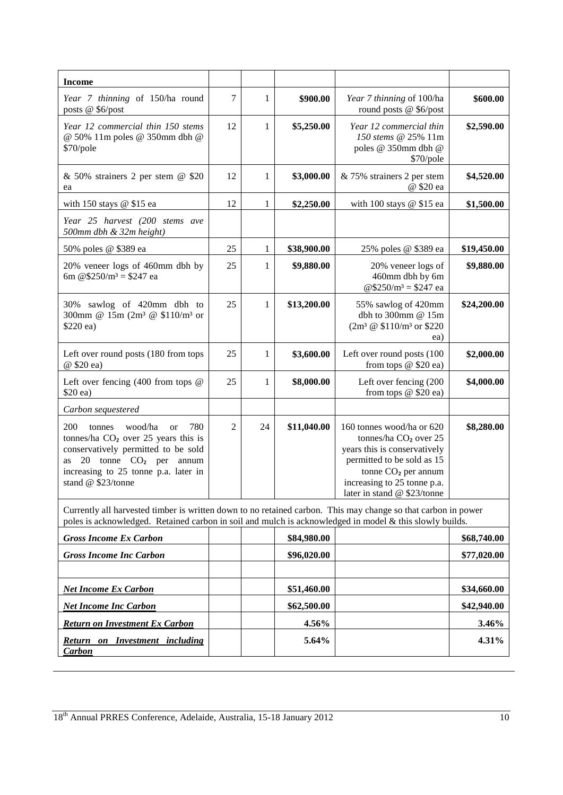| <b>Income</b>                                                                                                                                                                                                                              |    |    |             |                                                                                                                                                                                                                                      |             |
|--------------------------------------------------------------------------------------------------------------------------------------------------------------------------------------------------------------------------------------------|----|----|-------------|--------------------------------------------------------------------------------------------------------------------------------------------------------------------------------------------------------------------------------------|-------------|
| Year 7 thinning of 150/ha round<br>posts @ \$6/post                                                                                                                                                                                        | 7  | 1  | \$900.00    | Year 7 thinning of 100/ha<br>round posts @ \$6/post                                                                                                                                                                                  | \$600.00    |
| Year 12 commercial thin 150 stems<br>@ 50% 11m poles @ 350mm dbh @<br>\$70/pole                                                                                                                                                            | 12 | 1  | \$5,250.00  | Year 12 commercial thin<br>150 stems @ 25% 11m<br>poles @ 350mm dbh @<br>\$70/pole                                                                                                                                                   | \$2,590.00  |
| & 50% strainers 2 per stem @ \$20<br>ea                                                                                                                                                                                                    | 12 | 1  | \$3,000.00  | & 75% strainers 2 per stem<br>@ \$20 ea                                                                                                                                                                                              | \$4,520.00  |
| with 150 stays $@$ \$15 ea                                                                                                                                                                                                                 | 12 | 1  | \$2,250.00  | with 100 stays $@$ \$15 ea                                                                                                                                                                                                           | \$1,500.00  |
| Year 25 harvest (200 stems ave<br>500mm dbh & 32m height)                                                                                                                                                                                  |    |    |             |                                                                                                                                                                                                                                      |             |
| 50% poles @ \$389 ea                                                                                                                                                                                                                       | 25 | 1  | \$38,900.00 | 25% poles @ \$389 ea                                                                                                                                                                                                                 | \$19,450.00 |
| 20% veneer logs of 460mm dbh by<br>6m @\$250/m <sup>3</sup> = \$247 ea                                                                                                                                                                     | 25 | 1  | \$9,880.00  | 20% veneer logs of<br>460mm dbh by 6m<br>@\$250/m <sup>3</sup> = \$247 ea                                                                                                                                                            | \$9,880.00  |
| 30% sawlog of 420mm dbh to<br>300mm @ 15m (2m <sup>3</sup> @ \$110/m <sup>3</sup> or<br>\$220 ea)                                                                                                                                          | 25 | 1  | \$13,200.00 | 55% sawlog of 420mm<br>dbh to $300$ mm @ $15m$<br>$(2m^3 \ @ \ $110/m^3 \text{ or } $220$<br>ea)                                                                                                                                     | \$24,200.00 |
| Left over round posts (180 from tops<br>@ \$20 ea)                                                                                                                                                                                         | 25 | 1  | \$3,600.00  | Left over round posts (100<br>from tops $@$ \$20 ea)                                                                                                                                                                                 | \$2,000.00  |
| Left over fencing $(400$ from tops $@$<br>\$20 ea)                                                                                                                                                                                         | 25 | 1  | \$8,000.00  | Left over fencing (200<br>from tops $@$ \$20 ea)                                                                                                                                                                                     | \$4,000.00  |
| Carbon sequestered                                                                                                                                                                                                                         |    |    |             |                                                                                                                                                                                                                                      |             |
| 200<br>wood/ha<br>780<br>tonnes<br><sub>or</sub><br>tonnes/ha CO <sub>2</sub> over 25 years this is<br>conservatively permitted to be sold<br>20 tonne $CO2$ per annum<br>as<br>increasing to 25 tonne p.a. later in<br>stand @ \$23/tonne | 2  | 24 | \$11,040.00 | 160 tonnes wood/ha or 620<br>tonnes/ha CO <sub>2</sub> over 25<br>years this is conservatively<br>permitted to be sold as 15<br>tonne CO <sub>2</sub> per annum<br>increasing to 25 tonne p.a.<br>later in stand $\omega$ \$23/tonne | \$8,280.00  |
| Currently all harvested timber is written down to no retained carbon. This may change so that carbon in power<br>poles is acknowledged. Retained carbon in soil and mulch is acknowledged in model & this slowly builds.                   |    |    |             |                                                                                                                                                                                                                                      |             |
| <b>Gross Income Ex Carbon</b>                                                                                                                                                                                                              |    |    | \$84,980.00 |                                                                                                                                                                                                                                      | \$68,740.00 |
| <b>Gross Income Inc Carbon</b>                                                                                                                                                                                                             |    |    | \$96,020.00 |                                                                                                                                                                                                                                      | \$77,020.00 |
|                                                                                                                                                                                                                                            |    |    |             |                                                                                                                                                                                                                                      |             |
| <b>Net Income Ex Carbon</b>                                                                                                                                                                                                                |    |    | \$51,460.00 |                                                                                                                                                                                                                                      | \$34,660.00 |
| <b>Net Income Inc Carbon</b>                                                                                                                                                                                                               |    |    | \$62,500.00 |                                                                                                                                                                                                                                      | \$42,940.00 |
| <b>Return on Investment Ex Carbon</b>                                                                                                                                                                                                      |    |    | 4.56%       |                                                                                                                                                                                                                                      | 3.46%       |
| <b>Return on Investment including</b><br><b>Carbon</b>                                                                                                                                                                                     |    |    | 5.64%       |                                                                                                                                                                                                                                      | 4.31%       |

<sup>18&</sup>lt;sup>th</sup> Annual PRRES Conference, Adelaide, Australia, 15-18 January 2012 10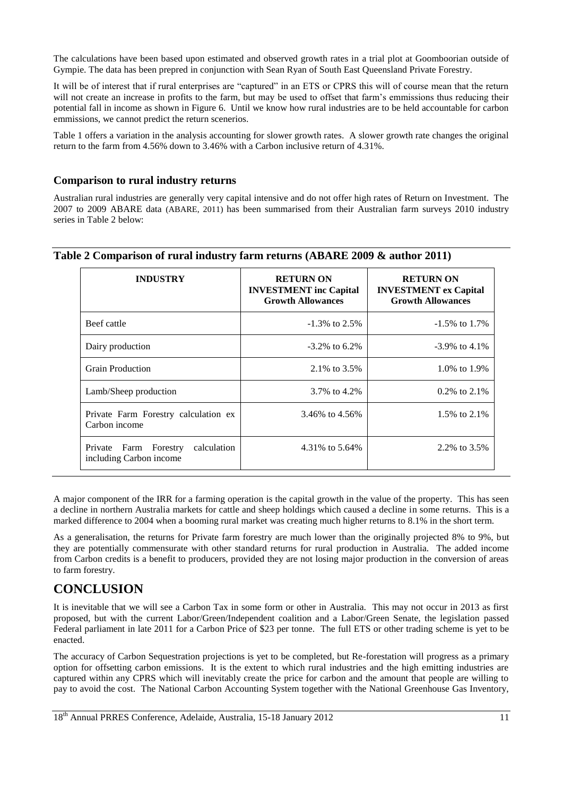The calculations have been based upon estimated and observed growth rates in a trial plot at Goomboorian outside of Gympie. The data has been prepred in conjunction with Sean Ryan of South East Queensland Private Forestry.

It will be of interest that if rural enterprises are "captured" in an ETS or CPRS this will of course mean that the return will not create an increase in profits to the farm, but may be used to offset that farm's emmissions thus reducing their potential fall in income as shown in Figure 6. Until we know how rural industries are to be held accountable for carbon emmissions, we cannot predict the return scenerios.

Table 1 offers a variation in the analysis accounting for slower growth rates. A slower growth rate changes the original return to the farm from 4.56% down to 3.46% with a Carbon inclusive return of 4.31%.

#### **Comparison to rural industry returns**

Australian rural industries are generally very capital intensive and do not offer high rates of Return on Investment. The 2007 to 2009 ABARE data [\(ABARE, 2011\)](#page-11-13) has been summarised from their Australian farm surveys 2010 industry series in Table 2 below:

| <b>INDUSTRY</b>                                                 | <b>RETURN ON</b><br><b>INVESTMENT</b> inc Capital<br><b>Growth Allowances</b> | <b>RETURN ON</b><br><b>INVESTMENT</b> ex Capital<br><b>Growth Allowances</b> |
|-----------------------------------------------------------------|-------------------------------------------------------------------------------|------------------------------------------------------------------------------|
| Beef cattle                                                     | $-1.3\%$ to 2.5%                                                              | $-1.5\%$ to 1.7%                                                             |
| Dairy production                                                | $-3.2\%$ to 6.2\%                                                             | $-3.9\%$ to 4.1\%                                                            |
| Grain Production                                                | 2.1\% to 3.5\%                                                                | 1.0\% to 1.9\%                                                               |
| Lamb/Sheep production                                           | 3.7% to 4.2%                                                                  | $0.2\%$ to $2.1\%$                                                           |
| Private Farm Forestry calculation ex<br>Carbon income           | 3.46% to 4.56%                                                                | 1.5% to 2.1%                                                                 |
| calculation<br>Private Farm Forestry<br>including Carbon income | 4.31% to 5.64%                                                                | 2.2\% to 3.5\%                                                               |

#### **Table 2 Comparison of rural industry farm returns (ABARE 2009 & author 2011)**

A major component of the IRR for a farming operation is the capital growth in the value of the property. This has seen a decline in northern Australia markets for cattle and sheep holdings which caused a decline in some returns. This is a marked difference to 2004 when a booming rural market was creating much higher returns to 8.1% in the short term.

As a generalisation, the returns for Private farm forestry are much lower than the originally projected 8% to 9%, but they are potentially commensurate with other standard returns for rural production in Australia. The added income from Carbon credits is a benefit to producers, provided they are not losing major production in the conversion of areas to farm forestry.

# **CONCLUSION**

It is inevitable that we will see a Carbon Tax in some form or other in Australia. This may not occur in 2013 as first proposed, but with the current Labor/Green/Independent coalition and a Labor/Green Senate, the legislation passed Federal parliament in late 2011 for a Carbon Price of \$23 per tonne. The full ETS or other trading scheme is yet to be enacted.

The accuracy of Carbon Sequestration projections is yet to be completed, but Re-forestation will progress as a primary option for offsetting carbon emissions. It is the extent to which rural industries and the high emitting industries are captured within any CPRS which will inevitably create the price for carbon and the amount that people are willing to pay to avoid the cost. The National Carbon Accounting System together with the National Greenhouse Gas Inventory,